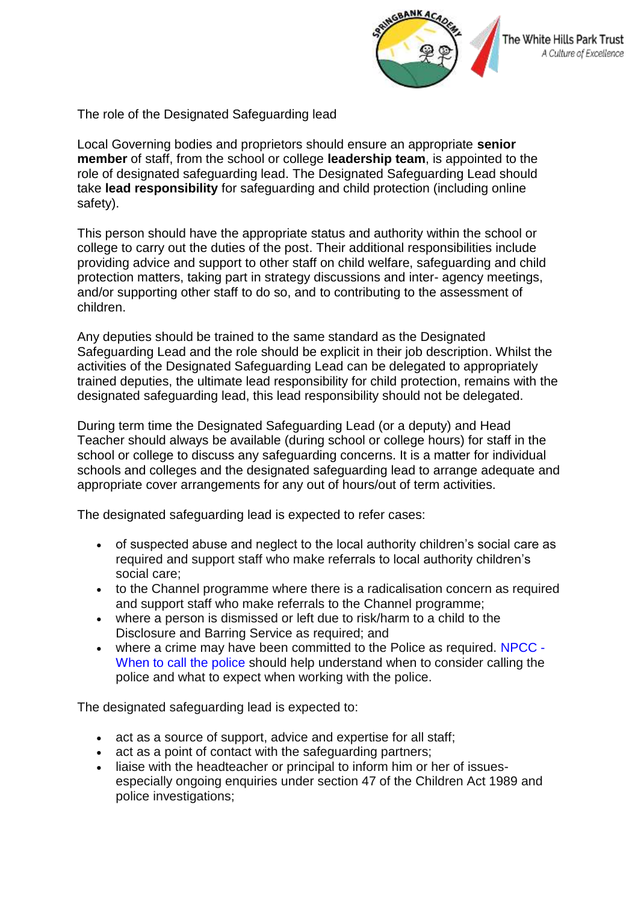

The role of the Designated Safeguarding lead

Local Governing bodies and proprietors should ensure an appropriate **senior member** of staff, from the school or college **leadership team**, is appointed to the role of designated safeguarding lead. The Designated Safeguarding Lead should take **lead responsibility** for safeguarding and child protection (including online safety).

This person should have the appropriate status and authority within the school or college to carry out the duties of the post. Their additional responsibilities include providing advice and support to other staff on child welfare, safeguarding and child protection matters, taking part in strategy discussions and inter- agency meetings, and/or supporting other staff to do so, and to contributing to the assessment of children.

Any deputies should be trained to the same standard as the Designated Safeguarding Lead and the role should be explicit in their job description. Whilst the activities of the Designated Safeguarding Lead can be delegated to appropriately trained deputies, the ultimate lead responsibility for child protection, remains with the designated safeguarding lead, this lead responsibility should not be delegated.

During term time the Designated Safeguarding Lead (or a deputy) and Head Teacher should always be available (during school or college hours) for staff in the school or college to discuss any safeguarding concerns. It is a matter for individual schools and colleges and the designated safeguarding lead to arrange adequate and appropriate cover arrangements for any out of hours/out of term activities.

The designated safeguarding lead is expected to refer cases:

- of suspected abuse and neglect to the local authority children's social care as required and support staff who make referrals to local authority children's social care;
- to the Channel programme where there is a radicalisation concern as required and support staff who make referrals to the Channel programme;
- where a person is dismissed or left due to risk/harm to a child to the Disclosure and Barring Service as required; and
- where a crime may have been committed to the Police as required. NPCC When to call the police should help understand when to consider calling the police and what to expect when working with the police.

The designated safeguarding lead is expected to:

- act as a source of support, advice and expertise for all staff;
- act as a point of contact with the safeguarding partners;
- liaise with the headteacher or principal to inform him or her of issuesespecially ongoing enquiries under section 47 of the Children Act 1989 and police investigations;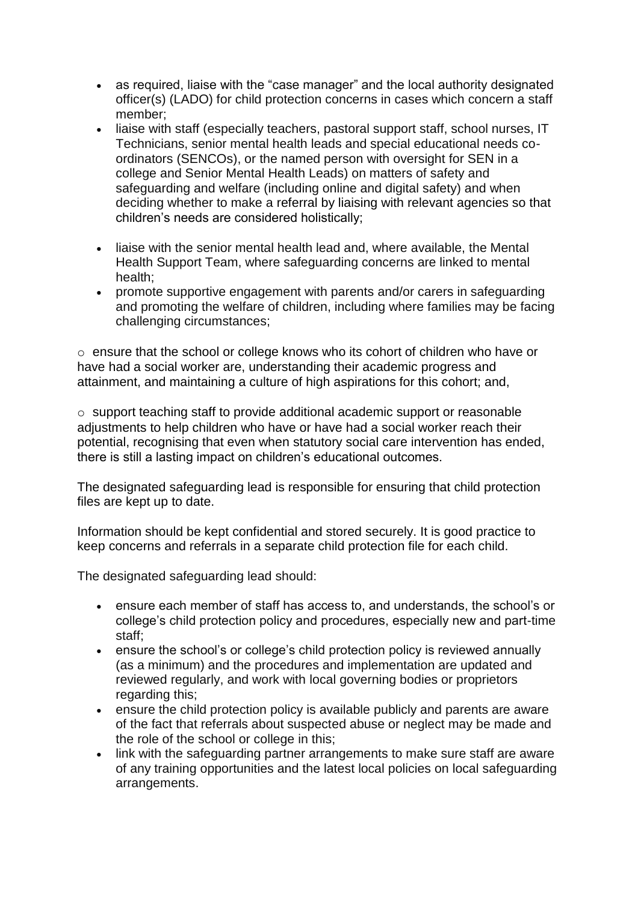- as required, liaise with the "case manager" and the local authority designated officer(s) (LADO) for child protection concerns in cases which concern a staff member;
- liaise with staff (especially teachers, pastoral support staff, school nurses, IT Technicians, senior mental health leads and special educational needs coordinators (SENCOs), or the named person with oversight for SEN in a college and Senior Mental Health Leads) on matters of safety and safeguarding and welfare (including online and digital safety) and when deciding whether to make a referral by liaising with relevant agencies so that children's needs are considered holistically;
- liaise with the senior mental health lead and, where available, the Mental Health Support Team, where safeguarding concerns are linked to mental health;
- promote supportive engagement with parents and/or carers in safeguarding and promoting the welfare of children, including where families may be facing challenging circumstances;

 $\circ$  ensure that the school or college knows who its cohort of children who have or have had a social worker are, understanding their academic progress and attainment, and maintaining a culture of high aspirations for this cohort; and,

o support teaching staff to provide additional academic support or reasonable adjustments to help children who have or have had a social worker reach their potential, recognising that even when statutory social care intervention has ended, there is still a lasting impact on children's educational outcomes.

The designated safeguarding lead is responsible for ensuring that child protection files are kept up to date.

Information should be kept confidential and stored securely. It is good practice to keep concerns and referrals in a separate child protection file for each child.

The designated safeguarding lead should:

- ensure each member of staff has access to, and understands, the school's or college's child protection policy and procedures, especially new and part-time staff;
- ensure the school's or college's child protection policy is reviewed annually (as a minimum) and the procedures and implementation are updated and reviewed regularly, and work with local governing bodies or proprietors regarding this;
- ensure the child protection policy is available publicly and parents are aware of the fact that referrals about suspected abuse or neglect may be made and the role of the school or college in this;
- link with the safeguarding partner arrangements to make sure staff are aware of any training opportunities and the latest local policies on local safeguarding arrangements.